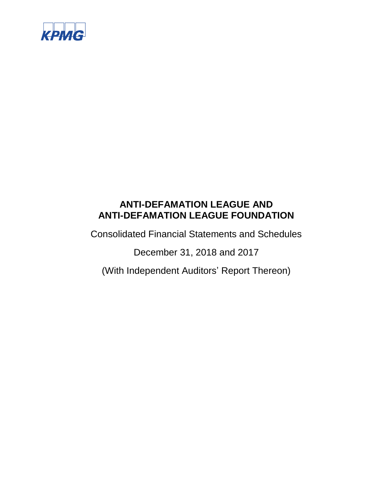

Consolidated Financial Statements and Schedules

December 31, 2018 and 2017

(With Independent Auditors' Report Thereon)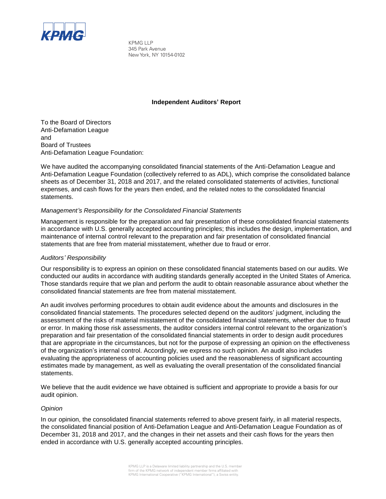

KPMG LLP 345 Park Avenue New York, NY 10154-0102

#### **Independent Auditors' Report**

To the Board of Directors Anti-Defamation League and Board of Trustees Anti-Defamation League Foundation:

We have audited the accompanying consolidated financial statements of the Anti-Defamation League and Anti-Defamation League Foundation (collectively referred to as ADL), which comprise the consolidated balance sheets as of December 31, 2018 and 2017, and the related consolidated statements of activities, functional expenses, and cash flows for the years then ended, and the related notes to the consolidated financial statements.

#### *Management's Responsibility for the Consolidated Financial Statements*

Management is responsible for the preparation and fair presentation of these consolidated financial statements in accordance with U.S. generally accepted accounting principles; this includes the design, implementation, and maintenance of internal control relevant to the preparation and fair presentation of consolidated financial statements that are free from material misstatement, whether due to fraud or error.

#### *Auditors' Responsibility*

Our responsibility is to express an opinion on these consolidated financial statements based on our audits. We conducted our audits in accordance with auditing standards generally accepted in the United States of America. Those standards require that we plan and perform the audit to obtain reasonable assurance about whether the consolidated financial statements are free from material misstatement.

An audit involves performing procedures to obtain audit evidence about the amounts and disclosures in the consolidated financial statements. The procedures selected depend on the auditors' judgment, including the assessment of the risks of material misstatement of the consolidated financial statements, whether due to fraud or error. In making those risk assessments, the auditor considers internal control relevant to the organization's preparation and fair presentation of the consolidated financial statements in order to design audit procedures that are appropriate in the circumstances, but not for the purpose of expressing an opinion on the effectiveness of the organization's internal control. Accordingly, we express no such opinion. An audit also includes evaluating the appropriateness of accounting policies used and the reasonableness of significant accounting estimates made by management, as well as evaluating the overall presentation of the consolidated financial statements.

We believe that the audit evidence we have obtained is sufficient and appropriate to provide a basis for our audit opinion.

#### *Opinion*

In our opinion, the consolidated financial statements referred to above present fairly, in all material respects, the consolidated financial position of Anti-Defamation League and Anti-Defamation League Foundation as of December 31, 2018 and 2017, and the changes in their net assets and their cash flows for the years then ended in accordance with U.S. generally accepted accounting principles.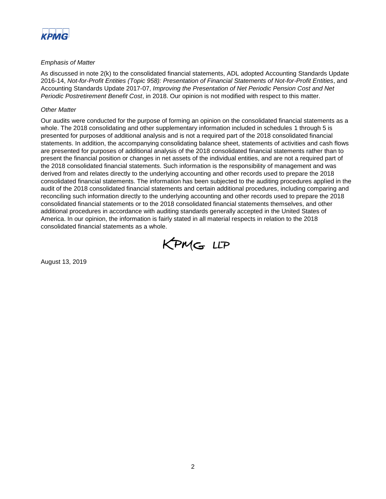

#### *Emphasis of Matter*

As discussed in note 2(k) to the consolidated financial statements, ADL adopted Accounting Standards Update 2016-14, *Not-for-Profit Entities (Topic 958): Presentation of Financial Statements of Not-for-Profit Entities*, and Accounting Standards Update 2017-07, *Improving the Presentation of Net Periodic Pension Cost and Net Periodic Postretirement Benefit Cost*, in 2018. Our opinion is not modified with respect to this matter.

#### *Other Matter*

Our audits were conducted for the purpose of forming an opinion on the consolidated financial statements as a whole. The 2018 consolidating and other supplementary information included in schedules 1 through 5 is presented for purposes of additional analysis and is not a required part of the 2018 consolidated financial statements. In addition, the accompanying consolidating balance sheet, statements of activities and cash flows are presented for purposes of additional analysis of the 2018 consolidated financial statements rather than to present the financial position or changes in net assets of the individual entities, and are not a required part of the 2018 consolidated financial statements. Such information is the responsibility of management and was derived from and relates directly to the underlying accounting and other records used to prepare the 2018 consolidated financial statements. The information has been subjected to the auditing procedures applied in the audit of the 2018 consolidated financial statements and certain additional procedures, including comparing and reconciling such information directly to the underlying accounting and other records used to prepare the 2018 consolidated financial statements or to the 2018 consolidated financial statements themselves, and other additional procedures in accordance with auditing standards generally accepted in the United States of America. In our opinion, the information is fairly stated in all material respects in relation to the 2018 consolidated financial statements as a whole.



August 13, 2019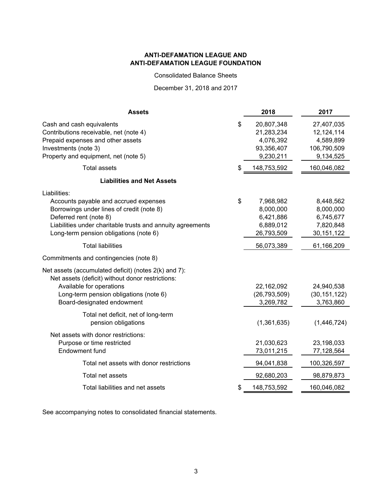Consolidated Balance Sheets

December 31, 2018 and 2017

| <b>Assets</b>                                                                                                                                                                                                                        | 2018                                                                   | 2017                                                              |
|--------------------------------------------------------------------------------------------------------------------------------------------------------------------------------------------------------------------------------------|------------------------------------------------------------------------|-------------------------------------------------------------------|
| Cash and cash equivalents<br>Contributions receivable, net (note 4)<br>Prepaid expenses and other assets<br>Investments (note 3)<br>Property and equipment, net (note 5)                                                             | \$<br>20,807,348<br>21,283,234<br>4,076,392<br>93,356,407<br>9,230,211 | 27,407,035<br>12,124,114<br>4,589,899<br>106,790,509<br>9,134,525 |
| <b>Total assets</b>                                                                                                                                                                                                                  | \$<br>148,753,592                                                      | 160,046,082                                                       |
| <b>Liabilities and Net Assets</b>                                                                                                                                                                                                    |                                                                        |                                                                   |
| Liabilities:<br>Accounts payable and accrued expenses<br>Borrowings under lines of credit (note 8)<br>Deferred rent (note 8)<br>Liabilities under charitable trusts and annuity agreements<br>Long-term pension obligations (note 6) | \$<br>7,968,982<br>8,000,000<br>6,421,886<br>6,889,012<br>26,793,509   | 8,448,562<br>8,000,000<br>6,745,677<br>7,820,848<br>30, 151, 122  |
| <b>Total liabilities</b>                                                                                                                                                                                                             | 56,073,389                                                             | 61,166,209                                                        |
| Commitments and contingencies (note 8)                                                                                                                                                                                               |                                                                        |                                                                   |
| Net assets (accumulated deficit) (notes 2(k) and 7):<br>Net assets (deficit) without donor restrictions:<br>Available for operations<br>Long-term pension obligations (note 6)<br>Board-designated endowment                         | 22,162,092<br>(26, 793, 509)<br>3,269,782                              | 24,940,538<br>(30, 151, 122)<br>3,763,860                         |
| Total net deficit, net of long-term<br>pension obligations                                                                                                                                                                           | (1,361,635)                                                            | (1,446,724)                                                       |
| Net assets with donor restrictions:<br>Purpose or time restricted<br>Endowment fund                                                                                                                                                  | 21,030,623<br>73,011,215                                               | 23,198,033<br>77,128,564                                          |
| Total net assets with donor restrictions                                                                                                                                                                                             | 94,041,838                                                             | 100,326,597                                                       |
| Total net assets                                                                                                                                                                                                                     | 92,680,203                                                             | 98,879,873                                                        |
| Total liabilities and net assets                                                                                                                                                                                                     | \$<br>148,753,592                                                      | 160,046,082                                                       |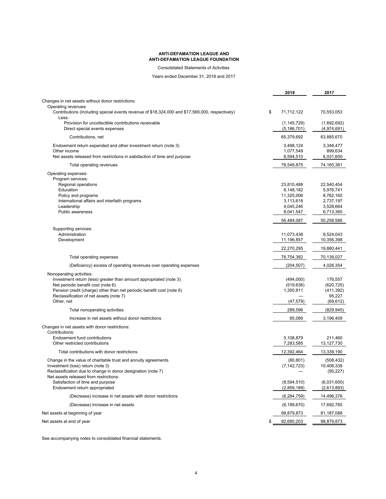Consolidated Statements of Activities

Years ended December 31, 2018 and 2017

|                                                                                                          | 2018                           | 2017                       |
|----------------------------------------------------------------------------------------------------------|--------------------------------|----------------------------|
| Changes in net assets without donor restrictions:                                                        |                                |                            |
| Operating revenues:                                                                                      |                                |                            |
| Contributions (including special events revenue of \$18,324,000 and \$17,569,000, respectively)<br>Less: | \$<br>71,712,122               | 70,553,053                 |
| Provision for uncollectible contributions receivable<br>Direct special events expenses                   | (1, 145, 729)<br>(5, 186, 701) | (1,692,692)<br>(4,974,691) |
| Contributions, net                                                                                       | 65,379,692                     | 63,885,670                 |
| Endowment return expended and other investment return (note 3)                                           | 3,498,124                      | 3,348,477                  |
| Other income                                                                                             | 1,077,549                      | 899,634                    |
| Net assets released from restrictions in satisfaction of time and purpose                                | 8,594,510                      | 6,031,600                  |
| Total operating revenues                                                                                 | 78,549,875                     | 74,165,381                 |
| Operating expenses:                                                                                      |                                |                            |
| Program services:                                                                                        |                                |                            |
| Regional operations                                                                                      | 23,810,488                     | 22,540,454                 |
| Education                                                                                                | 6,148,182                      | 5,976,741                  |
| Policy and programs<br>International affairs and interfaith programs                                     | 11,325,006<br>3,113,618        | 8,762,165                  |
| Leadership                                                                                               | 4,045,246                      | 2,737,197<br>3,528,664     |
| <b>Public awareness</b>                                                                                  | 8,041,547                      | 6,713,365                  |
|                                                                                                          |                                |                            |
|                                                                                                          | 56,484,087                     | 50,258,586                 |
| Supporting services:<br>Administration                                                                   |                                |                            |
| Development                                                                                              | 11,073,438<br>11,196,857       | 9,524,043<br>10,356,398    |
|                                                                                                          | 22,270,295                     | 19,880,441                 |
|                                                                                                          |                                |                            |
| Total operating expenses                                                                                 | 78,754,382                     | 70,139,027                 |
| (Deficiency) excess of operating revenues over operating expenses                                        | (204, 507)                     | 4,026,354                  |
| Nonoperating activities:                                                                                 |                                |                            |
| Investment return (less) greater than amount appropriated (note 3)                                       | (494,000)                      | 176,557                    |
| Net periodic benefit cost (note 6)                                                                       | (519, 636)                     | (620, 725)                 |
| Pension credit (charge) other than net periodic benefit cost (note 6)                                    | 1,350,811                      | (411, 392)                 |
| Reclassification of net assets (note 7)                                                                  |                                | 95,227                     |
| Other, net                                                                                               | (47, 579)                      | (69, 612)                  |
| Total nonoperating activities                                                                            | 289,596                        | (829, 945)                 |
| Increase in net assets without donor restrictions                                                        | 85,089                         | 3,196,409                  |
| Changes in net assets with donor restrictions:<br>Contributions:                                         |                                |                            |
| Endowment fund contributions                                                                             | 5,108,879                      | 211,460                    |
| Other restricted contributions                                                                           | 7,283,585                      | 13, 127, 730               |
| Total contributions with donor restrictions                                                              | 12,392,464                     | 13,339,190                 |
|                                                                                                          |                                |                            |
| Change in the value of charitable trust and annuity agreements<br>Investment (loss) return (note 3)      | (80, 801)<br>(7, 142, 723)     | (508, 432)<br>10,406,338   |
| Reclassification due to change in donor designation (note 7)                                             |                                | (95, 227)                  |
| Net assets released from restrictions:                                                                   |                                |                            |
| Satisfaction of time and purpose                                                                         | (8,594,510)                    | (6,031,600)                |
| Endowment return appropriated                                                                            | (2,859,189)                    | (2,613,893)                |
| (Decrease) increase in net assets with donor restrictions                                                | (6, 284, 759)                  | 14,496,376                 |
| (Decrease) increase in net assets                                                                        | (6, 199, 670)                  | 17,692,785                 |
| Net assets at beginning of year                                                                          | 98,879,873                     | 81,187,088                 |
| Net assets at end of year                                                                                | \$<br>92,680,203               | 98,879,873                 |
|                                                                                                          |                                |                            |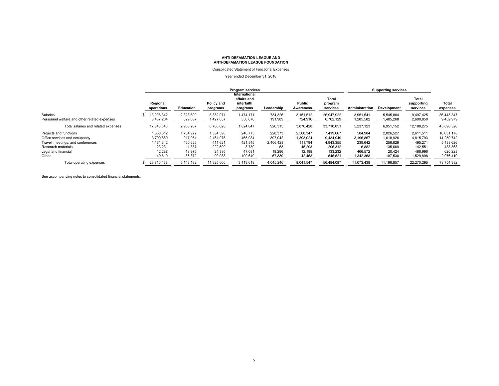Consolidated Statement of Functional Expenses

#### Year ended December 31, 2018

|                                                          | Program services        |                      |                        |                                                        |                    |                      |                              | <b>Supporting services</b> |                        |                                 |                         |
|----------------------------------------------------------|-------------------------|----------------------|------------------------|--------------------------------------------------------|--------------------|----------------------|------------------------------|----------------------------|------------------------|---------------------------------|-------------------------|
|                                                          | Regional<br>operations  | Education            | Policy and<br>programs | International<br>affairs and<br>interfaith<br>programs | Leadership         | Public<br>Awareness  | Total<br>program<br>services | Administration             | Development            | Total<br>supporting<br>services | Total<br>expenses       |
| Salaries<br>Personnel welfare and other related expenses | 13.906.342<br>3,437,204 | 2,328,600<br>629,687 | 5,352,971<br>1,427,657 | 1.474.171<br>350,676                                   | 734,326<br>191,989 | 3,151,512<br>724,916 | 26.947.922<br>6,762,129      | 3.951.541<br>1,285,582     | 5.545.884<br>1,405,268 | 9.497.425<br>2,690,850          | 36,445,347<br>9,452,979 |
| Total salaries and related expenses                      | 17,343,546              | 2,958,287            | 6,780,628              | 1,824,847                                              | 926,315            | 3,876,428            | 33,710,051                   | 5,237,123                  | 6,951,152              | 12,188,275                      | 45,898,326              |
| Projects and functions                                   | 1,350,612               | 1.704.972            | 1.334.590              | 240,773                                                | 228,373            | 2,560,347            | 7,419,667                    | 584,984                    | 2.026.527              | 2,611,511                       | 10.031.178              |
| Office services and occupancy                            | 3,799,860               | 917.064              | 2.461.075              | 465.984                                                | 397.942            | 1,393,024            | 9.434.949                    | 3,196,867                  | 1.618.926              | 4.815.793                       | 14,250,742              |
| Travel, meetings, and conferences                        | 1,131,342               | 460.625              | 411.621                | 421.545                                                | 2.406.428          | 111.794              | 4,943,355                    | 238.642                    | 256.629                | 495.271                         | 5,438,626               |
| Research materials                                       | 23.231                  | 1.387                | 222.609                | 3.739                                                  | 53                 | 45.293               | 296.312                      | 6.882                      | 135.669                | 142.551                         | 438,863                 |
| Legal and financial                                      | 12,287                  | 18,975               | 24,395                 | 47,081                                                 | 18,296             | 12,198               | 133,232                      | 466,572                    | 20,424                 | 486,996                         | 620,228                 |
| Other                                                    | 149,610                 | 86,872               | 90,088                 | 109,649                                                | 67,839             | 42,463               | 546,521                      | 1,342,368                  | 187,530                | 529,898                         | 2,076,419               |
| Total operating expenses                                 | 23,810,488              | 6,148,182            | 11,325,006             | 3,113,618                                              | 4,045,246          | 8,041,547            | 56,484,087                   | 11,073,438                 | 11,196,857             | 22,270,295                      | 78,754,382              |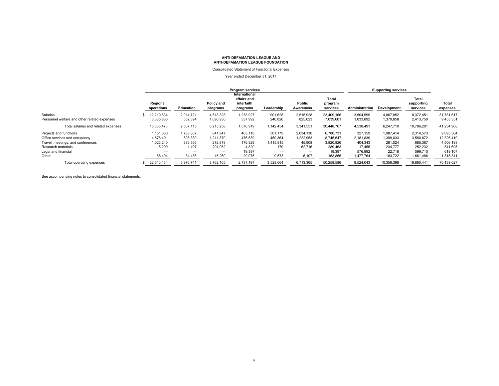Consolidated Statement of Functional Expenses

#### Year ended December 31, 2017

|                                              | Program services       |           |                        |                                                        |            |                     |                              | <b>Supporting services</b> |                    |                                 |                   |
|----------------------------------------------|------------------------|-----------|------------------------|--------------------------------------------------------|------------|---------------------|------------------------------|----------------------------|--------------------|---------------------------------|-------------------|
|                                              | Regional<br>operations | Education | Policy and<br>programs | International<br>affairs and<br>interfaith<br>programs | Leadership | Public<br>Awareness | Total<br>program<br>services | Administration             | <b>Development</b> | Total<br>supporting<br>services | Total<br>expenses |
| Salaries                                     | 12,219,634             | 2.014.721 | 4,518,328              | .238,927                                               | 901.628    | 2,515,928           | 23.409.166                   | 3,504,599                  | 4.867.852          | 8.372.451                       | 31.781.617        |
| Personnel welfare and other related expenses | 3,385,836              | 552,394   | 1,696,930              | 337.992                                                | 240,826    | 825.623             | 7,039,601                    | 1,033,892                  | 1,379,858          | 2,413,750                       | 9,453,351         |
| Total salaries and related expenses          | 15,605,470             | 2.567.115 | 6,215,258              | 576,919                                                | 1.142.454  | 3,341,551           | 30.448.767                   | 4,538,491                  | 6.247.710          | 10,786,201                      | 41,234,968        |
| Projects and functions                       | 1,151,550              | 1,788,807 | 841,947                | 463.118                                                | 501.179    | 2,034,130           | 6.780.731                    | 327.159                    | 1.987.414          | 2.314.573                       | 9,095,304         |
| Office services and occupancy                | 4,676,491              | 698,330   | 1.211.870              | 476.539                                                | 459.364    | 1,222,953           | 8.745.547                    | 2,181,839                  | 1,399,033          | 3,580,872                       | 12.326.419        |
| Travel, meetings, and conferences            | 1,023,240              | 886,556   | 272,878                | 176,329                                                | 1,415,915  | 45,908              | 3,820,826                    | 404,343                    | 281.024            | 685,367                         | 4,506,193         |
| Research materials                           | 15.299                 | 1.497     | 204,952                | 4.820                                                  | 179        | 62.716              | 289,463                      | 17.455                     | 234.777            | 252,232                         | 541.695           |
| Legal and financial                          |                        | -         | -                      | 19.397                                                 | -          | -                   | 19.397                       | 576,992                    | 22.718             | 599.710                         | 619.107           |
| Other                                        | 68,404                 | 34,436    | 15,260                 | 20,075                                                 | 9,573      | 6,107               | 153,855                      | 1,477,764                  | 183,722            | 1,661,486                       | 1,815,341         |
| Total operating expenses                     | 22,540,454             | 5,976,741 | 8,762,165              | 2,737,197                                              | 3,528,664  | 6,713,365           | 50,258,586                   | 9,524,043                  | 10,356,398         | 19,880,441                      | 70,139,027        |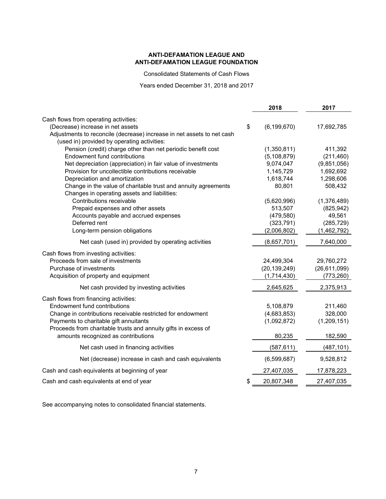Consolidated Statements of Cash Flows

Years ended December 31, 2018 and 2017

|                                                                        | 2018                | 2017               |
|------------------------------------------------------------------------|---------------------|--------------------|
| Cash flows from operating activities:                                  |                     |                    |
| (Decrease) increase in net assets                                      | \$<br>(6, 199, 670) | 17,692,785         |
| Adjustments to reconcile (decrease) increase in net assets to net cash |                     |                    |
| (used in) provided by operating activities:                            |                     |                    |
| Pension (credit) charge other than net periodic benefit cost           | (1,350,811)         | 411,392            |
| Endowment fund contributions                                           | (5, 108, 879)       | (211, 460)         |
| Net depreciation (appreciation) in fair value of investments           | 9,074,047           | (9,851,056)        |
| Provision for uncollectible contributions receivable                   | 1,145,729           | 1,692,692          |
| Depreciation and amortization                                          | 1,618,744           | 1,298,606          |
| Change in the value of charitable trust and annuity agreements         | 80,801              | 508,432            |
| Changes in operating assets and liabilities:                           |                     |                    |
| Contributions receivable                                               | (5,620,996)         | (1,376,489)        |
| Prepaid expenses and other assets                                      | 513,507             | (825, 942)         |
| Accounts payable and accrued expenses                                  | (479, 580)          | 49,561             |
| Deferred rent                                                          | (323, 791)          | (285, 729)         |
| Long-term pension obligations                                          | (2,006,802)         | (1,462,792)        |
| Net cash (used in) provided by operating activities                    | (8,657,701)         | 7,640,000          |
| Cash flows from investing activities:                                  |                     |                    |
| Proceeds from sale of investments                                      | 24,499,304          | 29,760,272         |
| Purchase of investments                                                | (20, 139, 249)      | (26, 611, 099)     |
| Acquisition of property and equipment                                  | (1,714,430)         | (773, 260)         |
| Net cash provided by investing activities                              | 2,645,625           | 2,375,913          |
|                                                                        |                     |                    |
| Cash flows from financing activities:<br>Endowment fund contributions  | 5,108,879           |                    |
| Change in contributions receivable restricted for endowment            | (4,683,853)         | 211,460<br>328,000 |
| Payments to charitable gift annuitants                                 | (1,092,872)         | (1,209,151)        |
| Proceeds from charitable trusts and annuity gifts in excess of         |                     |                    |
| amounts recognized as contributions                                    | 80,235              | 182,590            |
|                                                                        |                     |                    |
| Net cash used in financing activities                                  | (587, 611)          | (487, 101)         |
| Net (decrease) increase in cash and cash equivalents                   | (6,599,687)         | 9,528,812          |
| Cash and cash equivalents at beginning of year                         | 27,407,035          | 17,878,223         |
| Cash and cash equivalents at end of year                               | \$<br>20,807,348    | 27,407,035         |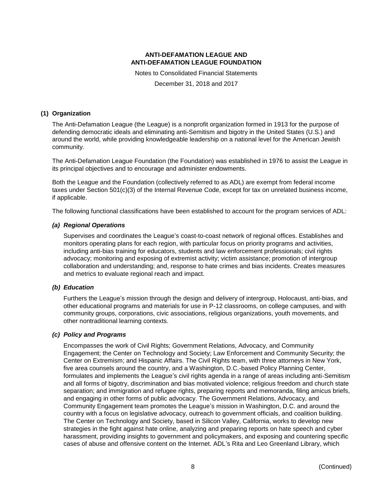Notes to Consolidated Financial Statements December 31, 2018 and 2017

#### **(1) Organization**

The Anti-Defamation League (the League) is a nonprofit organization formed in 1913 for the purpose of defending democratic ideals and eliminating anti-Semitism and bigotry in the United States (U.S.) and around the world, while providing knowledgeable leadership on a national level for the American Jewish community.

The Anti-Defamation League Foundation (the Foundation) was established in 1976 to assist the League in its principal objectives and to encourage and administer endowments.

Both the League and the Foundation (collectively referred to as ADL) are exempt from federal income taxes under Section 501(c)(3) of the Internal Revenue Code, except for tax on unrelated business income, if applicable.

The following functional classifications have been established to account for the program services of ADL:

#### *(a) Regional Operations*

Supervises and coordinates the League's coast-to-coast network of regional offices. Establishes and monitors operating plans for each region, with particular focus on priority programs and activities, including anti-bias training for educators, students and law enforcement professionals; civil rights advocacy; monitoring and exposing of extremist activity; victim assistance; promotion of intergroup collaboration and understanding; and, response to hate crimes and bias incidents. Creates measures and metrics to evaluate regional reach and impact.

#### *(b) Education*

Furthers the League's mission through the design and delivery of intergroup, Holocaust, anti-bias, and other educational programs and materials for use in P-12 classrooms, on college campuses, and with community groups, corporations, civic associations, religious organizations, youth movements, and other nontraditional learning contexts.

#### *(c) Policy and Programs*

Encompasses the work of Civil Rights; Government Relations, Advocacy, and Community Engagement; the Center on Technology and Society; Law Enforcement and Community Security; the Center on Extremism; and Hispanic Affairs. The Civil Rights team, with three attorneys in New York, five area counsels around the country, and a Washington, D.C.-based Policy Planning Center, formulates and implements the League's civil rights agenda in a range of areas including anti-Semitism and all forms of bigotry, discrimination and bias motivated violence; religious freedom and church state separation; and immigration and refugee rights, preparing reports and memoranda, filing amicus briefs, and engaging in other forms of public advocacy. The Government Relations, Advocacy, and Community Engagement team promotes the League's mission in Washington, D.C. and around the country with a focus on legislative advocacy, outreach to government officials, and coalition building. The Center on Technology and Society, based in Silicon Valley, California, works to develop new strategies in the fight against hate online, analyzing and preparing reports on hate speech and cyber harassment, providing insights to government and policymakers, and exposing and countering specific cases of abuse and offensive content on the Internet. ADL's Rita and Leo Greenland Library, which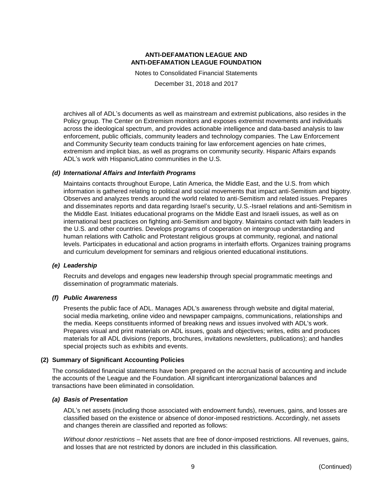Notes to Consolidated Financial Statements December 31, 2018 and 2017

archives all of ADL's documents as well as mainstream and extremist publications, also resides in the Policy group. The Center on Extremism monitors and exposes extremist movements and individuals across the ideological spectrum, and provides actionable intelligence and data-based analysis to law enforcement, public officials, community leaders and technology companies. The Law Enforcement and Community Security team conducts training for law enforcement agencies on hate crimes, extremism and implicit bias, as well as programs on community security. Hispanic Affairs expands ADL's work with Hispanic/Latino communities in the U.S.

#### *(d) International Affairs and Interfaith Programs*

Maintains contacts throughout Europe, Latin America, the Middle East, and the U.S. from which information is gathered relating to political and social movements that impact anti-Semitism and bigotry. Observes and analyzes trends around the world related to anti-Semitism and related issues. Prepares and disseminates reports and data regarding Israel's security, U.S.-Israel relations and anti-Semitism in the Middle East. Initiates educational programs on the Middle East and Israeli issues, as well as on international best practices on fighting anti-Semitism and bigotry. Maintains contact with faith leaders in the U.S. and other countries. Develops programs of cooperation on intergroup understanding and human relations with Catholic and Protestant religious groups at community, regional, and national levels. Participates in educational and action programs in interfaith efforts. Organizes training programs and curriculum development for seminars and religious oriented educational institutions.

#### *(e) Leadership*

Recruits and develops and engages new leadership through special programmatic meetings and dissemination of programmatic materials.

#### *(f) Public Awareness*

Presents the public face of ADL. Manages ADL's awareness through website and digital material, social media marketing, online video and newspaper campaigns, communications, relationships and the media. Keeps constituents informed of breaking news and issues involved with ADL's work. Prepares visual and print materials on ADL issues, goals and objectives; writes, edits and produces materials for all ADL divisions (reports, brochures, invitations newsletters, publications); and handles special projects such as exhibits and events.

#### **(2) Summary of Significant Accounting Policies**

The consolidated financial statements have been prepared on the accrual basis of accounting and include the accounts of the League and the Foundation. All significant interorganizational balances and transactions have been eliminated in consolidation.

#### *(a) Basis of Presentation*

ADL's net assets (including those associated with endowment funds), revenues, gains, and losses are classified based on the existence or absence of donor-imposed restrictions. Accordingly, net assets and changes therein are classified and reported as follows:

*Without donor restrictions* – Net assets that are free of donor-imposed restrictions. All revenues, gains, and losses that are not restricted by donors are included in this classification.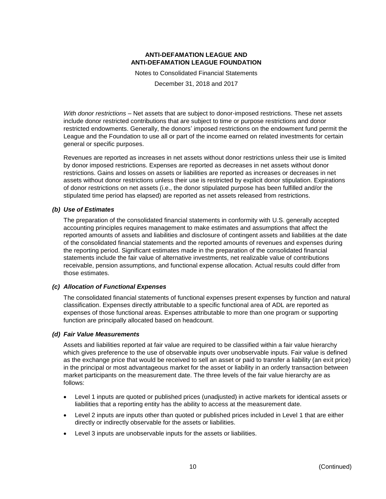Notes to Consolidated Financial Statements December 31, 2018 and 2017

*With donor restrictions* – Net assets that are subject to donor-imposed restrictions. These net assets include donor restricted contributions that are subject to time or purpose restrictions and donor restricted endowments. Generally, the donors' imposed restrictions on the endowment fund permit the League and the Foundation to use all or part of the income earned on related investments for certain general or specific purposes.

Revenues are reported as increases in net assets without donor restrictions unless their use is limited by donor imposed restrictions. Expenses are reported as decreases in net assets without donor restrictions. Gains and losses on assets or liabilities are reported as increases or decreases in net assets without donor restrictions unless their use is restricted by explicit donor stipulation. Expirations of donor restrictions on net assets (i.e., the donor stipulated purpose has been fulfilled and/or the stipulated time period has elapsed) are reported as net assets released from restrictions.

#### *(b) Use of Estimates*

The preparation of the consolidated financial statements in conformity with U.S. generally accepted accounting principles requires management to make estimates and assumptions that affect the reported amounts of assets and liabilities and disclosure of contingent assets and liabilities at the date of the consolidated financial statements and the reported amounts of revenues and expenses during the reporting period. Significant estimates made in the preparation of the consolidated financial statements include the fair value of alternative investments, net realizable value of contributions receivable, pension assumptions, and functional expense allocation. Actual results could differ from those estimates.

#### *(c) Allocation of Functional Expenses*

The consolidated financial statements of functional expenses present expenses by function and natural classification. Expenses directly attributable to a specific functional area of ADL are reported as expenses of those functional areas. Expenses attributable to more than one program or supporting function are principally allocated based on headcount.

#### *(d) Fair Value Measurements*

Assets and liabilities reported at fair value are required to be classified within a fair value hierarchy which gives preference to the use of observable inputs over unobservable inputs. Fair value is defined as the exchange price that would be received to sell an asset or paid to transfer a liability (an exit price) in the principal or most advantageous market for the asset or liability in an orderly transaction between market participants on the measurement date. The three levels of the fair value hierarchy are as follows:

- Level 1 inputs are quoted or published prices (unadjusted) in active markets for identical assets or liabilities that a reporting entity has the ability to access at the measurement date.
- Level 2 inputs are inputs other than quoted or published prices included in Level 1 that are either directly or indirectly observable for the assets or liabilities.
- Level 3 inputs are unobservable inputs for the assets or liabilities.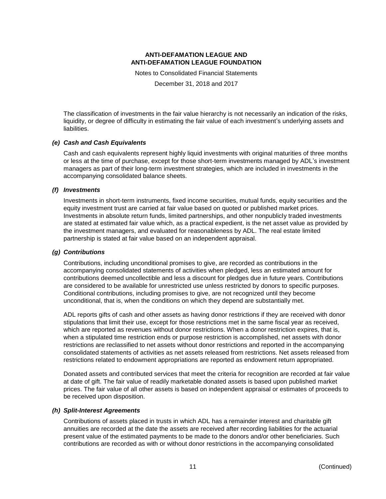Notes to Consolidated Financial Statements

December 31, 2018 and 2017

The classification of investments in the fair value hierarchy is not necessarily an indication of the risks, liquidity, or degree of difficulty in estimating the fair value of each investment's underlying assets and liabilities.

#### *(e) Cash and Cash Equivalents*

Cash and cash equivalents represent highly liquid investments with original maturities of three months or less at the time of purchase, except for those short-term investments managed by ADL's investment managers as part of their long-term investment strategies, which are included in investments in the accompanying consolidated balance sheets.

#### *(f) Investments*

Investments in short-term instruments, fixed income securities, mutual funds, equity securities and the equity investment trust are carried at fair value based on quoted or published market prices. Investments in absolute return funds, limited partnerships, and other nonpublicly traded investments are stated at estimated fair value which, as a practical expedient, is the net asset value as provided by the investment managers, and evaluated for reasonableness by ADL. The real estate limited partnership is stated at fair value based on an independent appraisal.

#### *(g) Contributions*

Contributions, including unconditional promises to give, are recorded as contributions in the accompanying consolidated statements of activities when pledged, less an estimated amount for contributions deemed uncollectible and less a discount for pledges due in future years. Contributions are considered to be available for unrestricted use unless restricted by donors to specific purposes. Conditional contributions, including promises to give, are not recognized until they become unconditional, that is, when the conditions on which they depend are substantially met.

ADL reports gifts of cash and other assets as having donor restrictions if they are received with donor stipulations that limit their use, except for those restrictions met in the same fiscal year as received, which are reported as revenues without donor restrictions. When a donor restriction expires, that is, when a stipulated time restriction ends or purpose restriction is accomplished, net assets with donor restrictions are reclassified to net assets without donor restrictions and reported in the accompanying consolidated statements of activities as net assets released from restrictions. Net assets released from restrictions related to endowment appropriations are reported as endowment return appropriated.

Donated assets and contributed services that meet the criteria for recognition are recorded at fair value at date of gift. The fair value of readily marketable donated assets is based upon published market prices. The fair value of all other assets is based on independent appraisal or estimates of proceeds to be received upon disposition.

#### *(h) Split-Interest Agreements*

Contributions of assets placed in trusts in which ADL has a remainder interest and charitable gift annuities are recorded at the date the assets are received after recording liabilities for the actuarial present value of the estimated payments to be made to the donors and/or other beneficiaries. Such contributions are recorded as with or without donor restrictions in the accompanying consolidated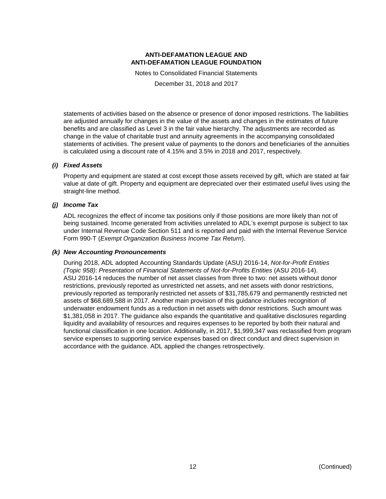Notes to Consolidated Financial Statements December 31, 2018 and 2017

statements of activities based on the absence or presence of donor imposed restrictions. The liabilities are adjusted annually for changes in the value of the assets and changes in the estimates of future benefits and are classified as Level 3 in the fair value hierarchy. The adjustments are recorded as change in the value of charitable trust and annuity agreements in the accompanying consolidated statements of activities. The present value of payments to the donors and beneficiaries of the annuities is calculated using a discount rate of 4.15% and 3.5% in 2018 and 2017, respectively.

#### *(i) Fixed Assets*

Property and equipment are stated at cost except those assets received by gift, which are stated at fair value at date of gift. Property and equipment are depreciated over their estimated useful lives using the straight-line method.

#### *(j) Income Tax*

ADL recognizes the effect of income tax positions only if those positions are more likely than not of being sustained. Income generated from activities unrelated to ADL's exempt purpose is subject to tax under Internal Revenue Code Section 511 and is reported and paid with the Internal Revenue Service Form 990-T (*Exempt Organization Business Income Tax Return*).

#### *(k) New Accounting Pronouncements*

During 2018, ADL adopted Accounting Standards Update (ASU) 2016-14, *Not-for-Profit Entities (Topic 958)*: *Presentation of Financial Statements of Not-for-Profits Entities* (ASU 2016-14). ASU 2016-14 reduces the number of net asset classes from three to two: net assets without donor restrictions, previously reported as unrestricted net assets, and net assets with donor restrictions, previously reported as temporarily restricted net assets of \$31,785,679 and permanently restricted net assets of \$68,689,588 in 2017. Another main provision of this guidance includes recognition of underwater endowment funds as a reduction in net assets with donor restrictions. Such amount was \$1,381,058 in 2017. The guidance also expands the quantitative and qualitative disclosures regarding liquidity and availability of resources and requires expenses to be reported by both their natural and functional classification in one location. Additionally, in 2017, \$1,999,347 was reclassified from program service expenses to supporting service expenses based on direct conduct and direct supervision in accordance with the guidance. ADL applied the changes retrospectively.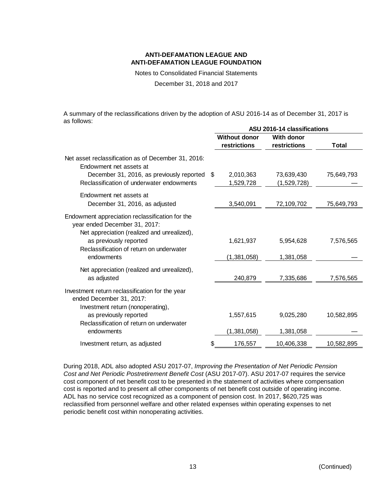Notes to Consolidated Financial Statements

December 31, 2018 and 2017

A summary of the reclassifications driven by the adoption of ASU 2016-14 as of December 31, 2017 is as follows:

|                                                                                                                                 | ASU 2016-14 classifications |                   |            |  |  |  |  |
|---------------------------------------------------------------------------------------------------------------------------------|-----------------------------|-------------------|------------|--|--|--|--|
|                                                                                                                                 | <b>Without donor</b>        | <b>With donor</b> |            |  |  |  |  |
|                                                                                                                                 | restrictions                | restrictions      | Total      |  |  |  |  |
| Net asset reclassification as of December 31, 2016:<br>Endowment net assets at                                                  |                             |                   |            |  |  |  |  |
| December 31, 2016, as previously reported                                                                                       | \$<br>2,010,363             | 73,639,430        | 75,649,793 |  |  |  |  |
| Reclassification of underwater endowments                                                                                       | 1,529,728                   | (1,529,728)       |            |  |  |  |  |
| Endowment net assets at                                                                                                         |                             |                   |            |  |  |  |  |
| December 31, 2016, as adjusted                                                                                                  | 3,540,091                   | 72,109,702        | 75,649,793 |  |  |  |  |
| Endowment appreciation reclassification for the<br>year ended December 31, 2017:<br>Net appreciation (realized and unrealized), |                             |                   |            |  |  |  |  |
| as previously reported<br>Reclassification of return on underwater                                                              | 1,621,937                   | 5,954,628         | 7,576,565  |  |  |  |  |
| endowments                                                                                                                      | (1, 381, 058)               | 1,381,058         |            |  |  |  |  |
| Net appreciation (realized and unrealized),<br>as adjusted                                                                      | 240,879                     | 7,335,686         | 7,576,565  |  |  |  |  |
| Investment return reclassification for the year<br>ended December 31, 2017:<br>Investment return (nonoperating),                |                             |                   |            |  |  |  |  |
| as previously reported<br>Reclassification of return on underwater                                                              | 1,557,615                   | 9,025,280         | 10,582,895 |  |  |  |  |
| endowments                                                                                                                      | (1, 381, 058)               | 1,381,058         |            |  |  |  |  |
| Investment return, as adjusted                                                                                                  | 176,557                     | 10,406,338        | 10,582,895 |  |  |  |  |

During 2018, ADL also adopted ASU 2017-07, *Improving the Presentation of Net Periodic Pension Cost and Net Periodic Postretirement Benefit Cost* (ASU 2017-07). ASU 2017-07 requires the service cost component of net benefit cost to be presented in the statement of activities where compensation cost is reported and to present all other components of net benefit cost outside of operating income. ADL has no service cost recognized as a component of pension cost. In 2017, \$620,725 was reclassified from personnel welfare and other related expenses within operating expenses to net periodic benefit cost within nonoperating activities.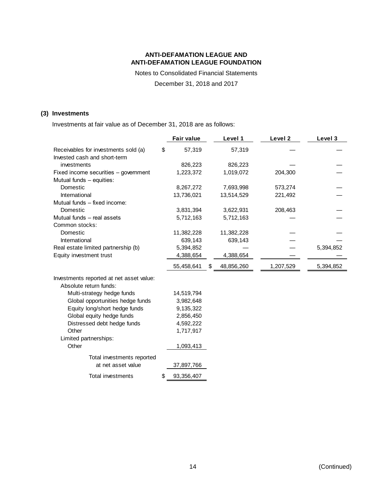Notes to Consolidated Financial Statements

December 31, 2018 and 2017

#### **(3) Investments**

Investments at fair value as of December 31, 2018 are as follows:

|                                          | <b>Fair value</b>  | Level 1          | Level 2   | Level 3   |
|------------------------------------------|--------------------|------------------|-----------|-----------|
| Receivables for investments sold (a)     | \$<br>57,319       | 57,319           |           |           |
| Invested cash and short-term             |                    |                  |           |           |
| investments                              | 826,223            | 826,223          |           |           |
| Fixed income securities - government     | 1,223,372          | 1,019,072        | 204,300   |           |
| Mutual funds - equities:                 |                    |                  |           |           |
| Domestic                                 | 8,267,272          | 7,693,998        | 573,274   |           |
| International                            | 13,736,021         | 13,514,529       | 221,492   |           |
| Mutual funds - fixed income:             |                    |                  |           |           |
| Domestic                                 | 3,831,394          | 3,622,931        | 208,463   |           |
| Mutual funds - real assets               | 5,712,163          | 5,712,163        |           |           |
| Common stocks:                           |                    |                  |           |           |
| Domestic                                 | 11,382,228         | 11,382,228       |           |           |
| International                            | 639,143            | 639,143          |           |           |
| Real estate limited partnership (b)      | 5,394,852          |                  |           | 5,394,852 |
| Equity investment trust                  | 4,388,654          | 4,388,654        |           |           |
|                                          | 55,458,641         | \$<br>48,856,260 | 1,207,529 | 5,394,852 |
| Investments reported at net asset value: |                    |                  |           |           |
| Absolute return funds:                   |                    |                  |           |           |
| Multi-strategy hedge funds               | 14,519,794         |                  |           |           |
| Global opportunities hedge funds         | 3,982,648          |                  |           |           |
| Equity long/short hedge funds            | 9,135,322          |                  |           |           |
| Global equity hedge funds                | 2,856,450          |                  |           |           |
| Distressed debt hedge funds              | 4,592,222          |                  |           |           |
| Other                                    | 1,717,917          |                  |           |           |
| Limited partnerships:                    |                    |                  |           |           |
| Other                                    | 1,093,413          |                  |           |           |
| Total investments reported               |                    |                  |           |           |
| at net asset value                       | 37,897,766         |                  |           |           |
| Total investments                        | \$<br>93, 356, 407 |                  |           |           |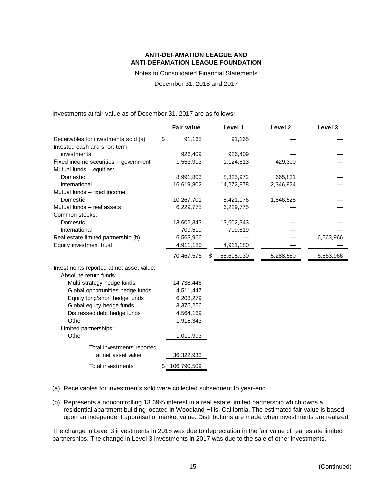Notes to Consolidated Financial Statements

December 31, 2018 and 2017

Investments at fair value as of December 31, 2017 are as follows:

|                                          | <b>Fair value</b> | Level 1          | Level <sub>2</sub> | Level 3   |
|------------------------------------------|-------------------|------------------|--------------------|-----------|
| Receivables for investments sold (a)     | \$<br>91,165      | 91,165           |                    |           |
| Invested cash and short-term             |                   |                  |                    |           |
| investments                              | 926,409           | 926,409          |                    |           |
| Fixed income securities - government     | 1,553,913         | 1,124,613        | 429,300            |           |
| Mutual funds - equities:                 |                   |                  |                    |           |
| Domestic                                 | 8,991,803         | 8,325,972        | 665,831            |           |
| International                            | 16,619,802        | 14,272,878       | 2,346,924          |           |
| Mutual funds - fixed income:             |                   |                  |                    |           |
| Domestic                                 | 10,267,701        | 8,421,176        | 1,846,525          |           |
| Mutual funds - real assets               | 6,229,775         | 6,229,775        |                    |           |
| Common stocks:                           |                   |                  |                    |           |
| Domestic                                 | 13,602,343        | 13,602,343       |                    |           |
| International                            | 709,519           | 709,519          |                    |           |
| Real estate limited partnership (b)      | 6,563,966         |                  |                    | 6,563,966 |
| Equity investment trust                  | 4,911,180         | 4,911,180        |                    |           |
|                                          | 70,467,576        | \$<br>58,615,030 | 5,288,580          | 6,563,966 |
| Investments reported at net asset value: |                   |                  |                    |           |
| Absolute return funds:                   |                   |                  |                    |           |
| Multi-strategy hedge funds               | 14,738,446        |                  |                    |           |
| Global opportunities hedge funds         | 4,511,447         |                  |                    |           |
| Equity long/short hedge funds            | 6,203,279         |                  |                    |           |
| Global equity hedge funds                | 3,375,256         |                  |                    |           |
| Distressed debt hedge funds              | 4,564,169         |                  |                    |           |
| Other                                    | 1,918,343         |                  |                    |           |
| Limited partnerships:                    |                   |                  |                    |           |
| Other                                    | 1,011,993         |                  |                    |           |
| Total investments reported               |                   |                  |                    |           |
| at net asset value                       | 36, 322, 933      |                  |                    |           |
| <b>Total investments</b>                 | \$<br>106,790,509 |                  |                    |           |

- (a) Receivables for investments sold were collected subsequent to year-end.
- (b) Represents a noncontrolling 13.69% interest in a real estate limited partnership which owns a residential apartment building located in Woodland Hills, California. The estimated fair value is based upon an independent appraisal of market value. Distributions are made when investments are realized.

The change in Level 3 investments in 2018 was due to depreciation in the fair value of real estate limited partnerships. The change in Level 3 investments in 2017 was due to the sale of other investments.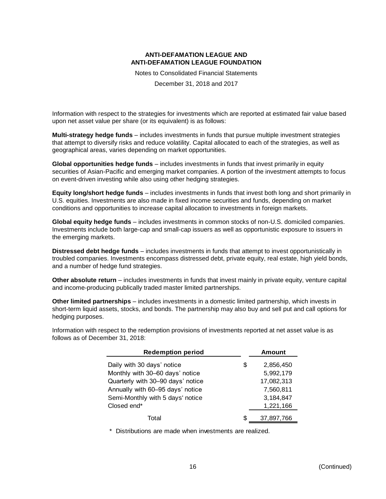Notes to Consolidated Financial Statements December 31, 2018 and 2017

Information with respect to the strategies for investments which are reported at estimated fair value based upon net asset value per share (or its equivalent) is as follows:

**Multi-strategy hedge funds** – includes investments in funds that pursue multiple investment strategies that attempt to diversify risks and reduce volatility. Capital allocated to each of the strategies, as well as geographical areas, varies depending on market opportunities.

**Global opportunities hedge funds** – includes investments in funds that invest primarily in equity securities of Asian-Pacific and emerging market companies. A portion of the investment attempts to focus on event-driven investing while also using other hedging strategies.

**Equity long/short hedge funds** – includes investments in funds that invest both long and short primarily in U.S. equities. Investments are also made in fixed income securities and funds, depending on market conditions and opportunities to increase capital allocation to investments in foreign markets.

**Global equity hedge funds** – includes investments in common stocks of non-U.S. domiciled companies. Investments include both large-cap and small-cap issuers as well as opportunistic exposure to issuers in the emerging markets.

**Distressed debt hedge funds** – includes investments in funds that attempt to invest opportunistically in troubled companies. Investments encompass distressed debt, private equity, real estate, high yield bonds, and a number of hedge fund strategies.

**Other absolute return** – includes investments in funds that invest mainly in private equity, venture capital and income-producing publically traded master limited partnerships.

**Other limited partnerships** – includes investments in a domestic limited partnership, which invests in short-term liquid assets, stocks, and bonds. The partnership may also buy and sell put and call options for hedging purposes.

Information with respect to the redemption provisions of investments reported at net asset value is as follows as of December 31, 2018:

| <b>Redemption period</b>          |    | Amount     |
|-----------------------------------|----|------------|
| Daily with 30 days' notice        | \$ | 2,856,450  |
| Monthly with 30-60 days' notice   |    | 5,992,179  |
| Quarterly with 30-90 days' notice |    | 17,082,313 |
| Annually with 60-95 days' notice  |    | 7,560,811  |
| Semi-Monthly with 5 days' notice  |    | 3,184,847  |
| Closed end*                       |    | 1,221,166  |
| Total                             | S  | 37.897.766 |

\* Distributions are made when investments are realized.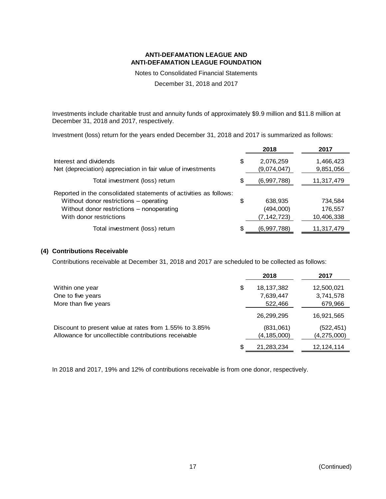Notes to Consolidated Financial Statements

December 31, 2018 and 2017

Investments include charitable trust and annuity funds of approximately \$9.9 million and \$11.8 million at December 31, 2018 and 2017, respectively.

Investment (loss) return for the years ended December 31, 2018 and 2017 is summarized as follows:

|                                                                                                                                                                                     |    | 2018                                | 2017                             |
|-------------------------------------------------------------------------------------------------------------------------------------------------------------------------------------|----|-------------------------------------|----------------------------------|
| Interest and dividends<br>Net (depreciation) appreciation in fair value of investments                                                                                              | \$ | 2,076,259<br>(9,074,047)            | 1,466,423<br>9,851,056           |
| Total investment (loss) return                                                                                                                                                      | S. | (6,997,788)                         | 11,317,479                       |
| Reported in the consolidated statements of activities as follows:<br>Without donor restrictions - operating<br>Without donor restrictions - nonoperating<br>With donor restrictions | \$ | 638,935<br>(494,000)<br>(7,142,723) | 734,584<br>176,557<br>10,406,338 |
| Total investment (loss) return                                                                                                                                                      |    | (6,997,788)                         | 11,317,479                       |

#### **(4) Contributions Receivable**

Contributions receivable at December 31, 2018 and 2017 are scheduled to be collected as follows:

|                                                        | 2018               | 2017          |
|--------------------------------------------------------|--------------------|---------------|
| Within one year                                        | \$<br>18, 137, 382 | 12,500,021    |
| One to five years                                      | 7,639,447          | 3,741,578     |
| More than five years                                   | 522,466            | 679,966       |
|                                                        | 26,299,295         | 16,921,565    |
| Discount to present value at rates from 1.55% to 3.85% | (831,061)          | (522, 451)    |
| Allowance for uncollectible contributions receivable   | (4, 185, 000)      | (4, 275, 000) |
|                                                        | \$<br>21,283,234   | 12, 124, 114  |

In 2018 and 2017, 19% and 12% of contributions receivable is from one donor, respectively.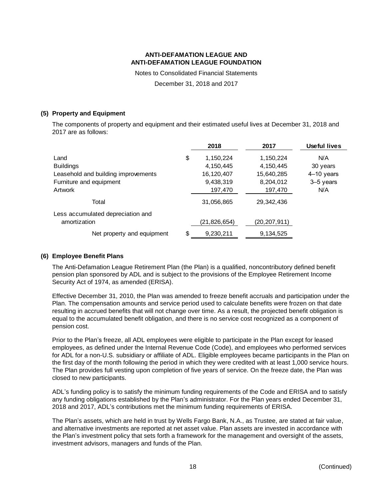Notes to Consolidated Financial Statements

December 31, 2018 and 2017

#### **(5) Property and Equipment**

The components of property and equipment and their estimated useful lives at December 31, 2018 and 2017 are as follows:

|                                                   | 2018         | 2017         | <b>Useful lives</b> |
|---------------------------------------------------|--------------|--------------|---------------------|
| \$<br>Land                                        | 1,150,224    | 1,150,224    | N/A                 |
| <b>Buildings</b>                                  | 4,150,445    | 4,150,445    | 30 years            |
| Leasehold and building improvements               | 16,120,407   | 15,640,285   | $4-10$ years        |
| Furniture and equipment                           | 9,438,319    | 8,204,012    | 3-5 years           |
| Artwork                                           | 197,470      | 197,470      | N/A                 |
| Total                                             | 31,056,865   | 29,342,436   |                     |
| Less accumulated depreciation and<br>amortization | (21,826,654) | (20,207,911) |                     |
| \$<br>Net property and equipment                  | 9,230,211    | 9, 134, 525  |                     |

#### **(6) Employee Benefit Plans**

The Anti-Defamation League Retirement Plan (the Plan) is a qualified, noncontributory defined benefit pension plan sponsored by ADL and is subject to the provisions of the Employee Retirement Income Security Act of 1974, as amended (ERISA).

Effective December 31, 2010, the Plan was amended to freeze benefit accruals and participation under the Plan. The compensation amounts and service period used to calculate benefits were frozen on that date resulting in accrued benefits that will not change over time. As a result, the projected benefit obligation is equal to the accumulated benefit obligation, and there is no service cost recognized as a component of pension cost.

Prior to the Plan's freeze, all ADL employees were eligible to participate in the Plan except for leased employees, as defined under the Internal Revenue Code (Code), and employees who performed services for ADL for a non-U.S. subsidiary or affiliate of ADL. Eligible employees became participants in the Plan on the first day of the month following the period in which they were credited with at least 1,000 service hours. The Plan provides full vesting upon completion of five years of service. On the freeze date, the Plan was closed to new participants.

ADL's funding policy is to satisfy the minimum funding requirements of the Code and ERISA and to satisfy any funding obligations established by the Plan's administrator. For the Plan years ended December 31, 2018 and 2017, ADL's contributions met the minimum funding requirements of ERISA.

The Plan's assets, which are held in trust by Wells Fargo Bank, N.A., as Trustee, are stated at fair value, and alternative investments are reported at net asset value. Plan assets are invested in accordance with the Plan's investment policy that sets forth a framework for the management and oversight of the assets, investment advisors, managers and funds of the Plan.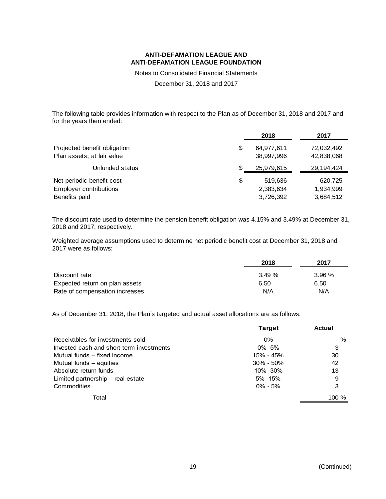Notes to Consolidated Financial Statements

December 31, 2018 and 2017

The following table provides information with respect to the Plan as of December 31, 2018 and 2017 and for the years then ended:

|                                                            |    | 2018       | 2017         |
|------------------------------------------------------------|----|------------|--------------|
| Projected benefit obligation<br>Plan assets, at fair value | \$ | 64,977,611 | 72,032,492   |
|                                                            |    | 38,997,996 | 42,838,068   |
| Unfunded status                                            | S  | 25,979,615 | 29, 194, 424 |
| Net periodic benefit cost                                  | \$ | 519,636    | 620,725      |
| <b>Employer contributions</b>                              |    | 2,383,634  | 1,934,999    |
| Benefits paid                                              |    | 3,726,392  | 3,684,512    |

The discount rate used to determine the pension benefit obligation was 4.15% and 3.49% at December 31, 2018 and 2017, respectively.

Weighted average assumptions used to determine net periodic benefit cost at December 31, 2018 and 2017 were as follows:

|                                | 2018  | 2017  |  |
|--------------------------------|-------|-------|--|
| Discount rate                  | 3.49% | 3.96% |  |
| Expected return on plan assets | 6.50  | 6.50  |  |
| Rate of compensation increases | N/A   | N/A   |  |

As of December 31, 2018, the Plan's targeted and actual asset allocations are as follows:

|                                          | <b>Target</b> | Actual |
|------------------------------------------|---------------|--------|
| Receivables for investments sold         | $0\%$         | $-$ %  |
| Invested cash and short-term investments | $0\% - 5\%$   | 3      |
| Mutual funds – fixed income              | 15% - 45%     | 30     |
| Mutual funds $-$ equities                | $30\% - 50\%$ | 42     |
| Absolute return funds                    | 10%-30%       | 13     |
| Limited partnership – real estate        | $5\% - 15\%$  | 9      |
| Commodities                              | $0\% - 5\%$   | 3      |
| Total                                    |               | 100 %  |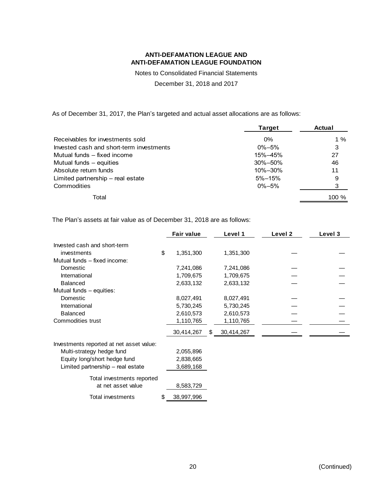Notes to Consolidated Financial Statements

December 31, 2018 and 2017

As of December 31, 2017, the Plan's targeted and actual asset allocations are as follows:

|                                          | <b>Target</b> | <b>Actual</b> |
|------------------------------------------|---------------|---------------|
| Receivables for investments sold         | $0\%$         | 1 %           |
| Invested cash and short-term investments | $0\% - 5\%$   | 3             |
| Mutual funds - fixed income              | 15%-45%       | 27            |
| Mutual funds $-$ equities                | 30%-50%       | 46            |
| Absolute return funds                    | 10%-30%       | 11            |
| Limited partnership – real estate        | $5\% - 15\%$  | 9             |
| Commodities                              | $0\% - 5\%$   | 3             |
| Total                                    |               | $100 \%$      |

The Plan's assets at fair value as of December 31, 2018 are as follows:

|                                          | <b>Fair value</b> |    | Level 1    | Level 2 | Level 3 |
|------------------------------------------|-------------------|----|------------|---------|---------|
| Invested cash and short-term             |                   |    |            |         |         |
| investments                              | \$<br>1,351,300   |    | 1,351,300  |         |         |
| Mutual funds - fixed income:             |                   |    |            |         |         |
| Domestic                                 | 7,241,086         |    | 7,241,086  |         |         |
| International                            | 1,709,675         |    | 1,709,675  |         |         |
| <b>Balanced</b>                          | 2,633,132         |    | 2,633,132  |         |         |
| Mutual funds - equities:                 |                   |    |            |         |         |
| Domestic                                 | 8,027,491         |    | 8,027,491  |         |         |
| International                            | 5,730,245         |    | 5,730,245  |         |         |
| <b>Balanced</b>                          | 2,610,573         |    | 2,610,573  |         |         |
| Commodities trust                        | 1,110,765         |    | 1,110,765  |         |         |
|                                          | 30,414,267        | S. | 30,414,267 |         |         |
| Investments reported at net asset value: |                   |    |            |         |         |
| Multi-strategy hedge fund                | 2,055,896         |    |            |         |         |
| Equity long/short hedge fund             | 2,838,665         |    |            |         |         |
| Limited partnership - real estate        | 3,689,168         |    |            |         |         |
| Total investments reported               |                   |    |            |         |         |
| at net asset value                       | 8,583,729         |    |            |         |         |
| Total investments                        | \$<br>38,997,996  |    |            |         |         |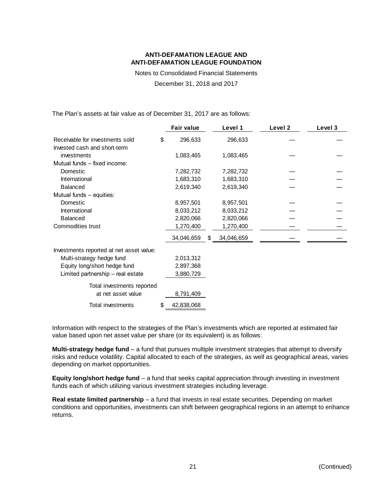Notes to Consolidated Financial Statements

December 31, 2018 and 2017

The Plan's assets at fair value as of December 31, 2017 are as follows:

|                                          | <b>Fair value</b> | Level 1          | Level 2 | Level 3 |
|------------------------------------------|-------------------|------------------|---------|---------|
| Receivable for investments sold          | \$<br>296,633     | 296,633          |         |         |
| Invested cash and short-term             |                   |                  |         |         |
| investments                              | 1,083,465         | 1,083,465        |         |         |
| Mutual funds - fixed income:             |                   |                  |         |         |
| Domestic                                 | 7,282,732         | 7,282,732        |         |         |
| International                            | 1,683,310         | 1,683,310        |         |         |
| <b>Balanced</b>                          | 2,619,340         | 2,619,340        |         |         |
| Mutual funds - equities:                 |                   |                  |         |         |
| Domestic                                 | 8,957,501         | 8,957,501        |         |         |
| International                            | 8,033,212         | 8,033,212        |         |         |
| <b>Balanced</b>                          | 2,820,066         | 2,820,066        |         |         |
| Commodities trust                        | 1,270,400         | 1,270,400        |         |         |
|                                          | 34,046,659        | \$<br>34,046,659 |         |         |
| Investments reported at net asset value: |                   |                  |         |         |
| Multi-strategy hedge fund                | 2,013,312         |                  |         |         |
| Equity long/short hedge fund             | 2,897,368         |                  |         |         |
| Limited partnership – real estate        | 3,880,729         |                  |         |         |
| Total investments reported               |                   |                  |         |         |
| at net asset value                       | 8,791,409         |                  |         |         |
| Total investments                        | \$<br>42,838,068  |                  |         |         |

Information with respect to the strategies of the Plan's investments which are reported at estimated fair value based upon net asset value per share (or its equivalent) is as follows:

**Multi-strategy hedge fund** – a fund that pursues multiple investment strategies that attempt to diversify risks and reduce volatility. Capital allocated to each of the strategies, as well as geographical areas, varies depending on market opportunities.

**Equity long/short hedge fund** – a fund that seeks capital appreciation through investing in investment funds each of which utilizing various investment strategies including leverage.

**Real estate limited partnership** – a fund that invests in real estate securities. Depending on market conditions and opportunities, investments can shift between geographical regions in an attempt to enhance returns.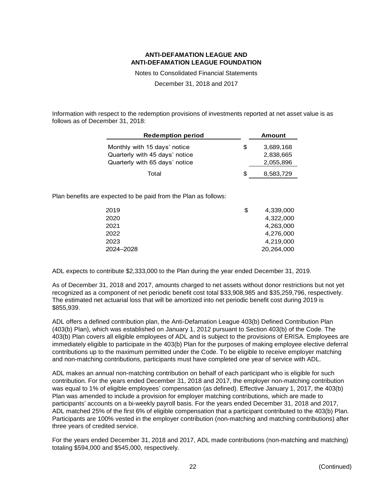Notes to Consolidated Financial Statements

December 31, 2018 and 2017

Information with respect to the redemption provisions of investments reported at net asset value is as follows as of December 31, 2018:

| <b>Redemption period</b>       |     | <b>Amount</b> |
|--------------------------------|-----|---------------|
| Monthly with 15 days' notice   | S   | 3,689,168     |
| Quarterly with 45 days' notice |     | 2,838,665     |
| Quarterly with 65 days' notice |     | 2,055,896     |
| Total                          | \$. | 8,583,729     |

Plan benefits are expected to be paid from the Plan as follows:

| 2019      | \$<br>4,339,000 |
|-----------|-----------------|
| 2020      | 4,322,000       |
| 2021      | 4,263,000       |
| 2022      | 4,276,000       |
| 2023      | 4,219,000       |
| 2024–2028 | 20,264,000      |
|           |                 |

ADL expects to contribute \$2,333,000 to the Plan during the year ended December 31, 2019.

As of December 31, 2018 and 2017, amounts charged to net assets without donor restrictions but not yet recognized as a component of net periodic benefit cost total \$33,908,985 and \$35,259,796, respectively. The estimated net actuarial loss that will be amortized into net periodic benefit cost during 2019 is \$855,939.

ADL offers a defined contribution plan, the Anti-Defamation League 403(b) Defined Contribution Plan (403(b) Plan), which was established on January 1, 2012 pursuant to Section 403(b) of the Code. The 403(b) Plan covers all eligible employees of ADL and is subject to the provisions of ERISA. Employees are immediately eligible to participate in the 403(b) Plan for the purposes of making employee elective deferral contributions up to the maximum permitted under the Code. To be eligible to receive employer matching and non-matching contributions, participants must have completed one year of service with ADL.

ADL makes an annual non-matching contribution on behalf of each participant who is eligible for such contribution. For the years ended December 31, 2018 and 2017, the employer non-matching contribution was equal to 1% of eligible employees' compensation (as defined). Effective January 1, 2017, the 403(b) Plan was amended to include a provision for employer matching contributions, which are made to participants' accounts on a bi-weekly payroll basis. For the years ended December 31, 2018 and 2017, ADL matched 25% of the first 6% of eligible compensation that a participant contributed to the 403(b) Plan. Participants are 100% vested in the employer contribution (non-matching and matching contributions) after three years of credited service.

For the years ended December 31, 2018 and 2017, ADL made contributions (non-matching and matching) totaling \$594,000 and \$545,000, respectively.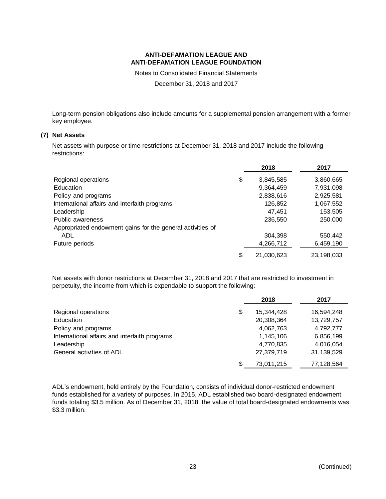Notes to Consolidated Financial Statements

December 31, 2018 and 2017

Long-term pension obligations also include amounts for a supplemental pension arrangement with a former key employee.

### **(7) Net Assets**

Net assets with purpose or time restrictions at December 31, 2018 and 2017 include the following restrictions:

|                                                            | 2018             | 2017       |
|------------------------------------------------------------|------------------|------------|
| Regional operations                                        | \$<br>3,845,585  | 3,860,665  |
| Education                                                  | 9,364,459        | 7,931,098  |
| Policy and programs                                        | 2,838,616        | 2,925,581  |
| International affairs and interfaith programs              | 126,852          | 1,067,552  |
| Leadership                                                 | 47,451           | 153,505    |
| Public awareness                                           | 236,550          | 250,000    |
| Appropriated endowment gains for the general activities of |                  |            |
| ADL                                                        | 304,398          | 550,442    |
| Future periods                                             | 4,266,712        | 6,459,190  |
|                                                            | \$<br>21,030,623 | 23,198,033 |

Net assets with donor restrictions at December 31, 2018 and 2017 that are restricted to investment in perpetuity, the income from which is expendable to support the following:

|                                               |    | 2018       | 2017       |
|-----------------------------------------------|----|------------|------------|
| Regional operations                           | \$ | 15,344,428 | 16,594,248 |
| Education                                     |    | 20,308,364 | 13,729,757 |
| Policy and programs                           |    | 4,062,763  | 4,792,777  |
| International affairs and interfaith programs |    | 1,145,106  | 6,856,199  |
| Leadership                                    |    | 4,770,835  | 4,016,054  |
| General activities of ADL                     |    | 27,379,719 | 31,139,529 |
|                                               | S  | 73,011,215 | 77,128,564 |

ADL's endowment, held entirely by the Foundation, consists of individual donor-restricted endowment funds established for a variety of purposes. In 2015, ADL established two board-designated endowment funds totaling \$3.5 million. As of December 31, 2018, the value of total board-designated endowments was \$3.3 million.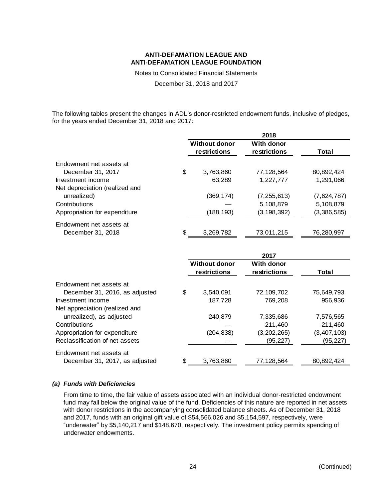Notes to Consolidated Financial Statements

December 31, 2018 and 2017

The following tables present the changes in ADL's donor-restricted endowment funds, inclusive of pledges, for the years ended December 31, 2018 and 2017:

|                                |                                      | 2018                       |             |
|--------------------------------|--------------------------------------|----------------------------|-------------|
|                                | <b>Without donor</b><br>restrictions | With donor<br>restrictions | Total       |
| Endowment net assets at        |                                      |                            |             |
| December 31, 2017              | \$<br>3,763,860                      | 77,128,564                 | 80,892,424  |
| Investment income              | 63,289                               | 1,227,777                  | 1,291,066   |
| Net depreciation (realized and |                                      |                            |             |
| unrealized)                    | (369, 174)                           | (7, 255, 613)              | (7,624,787) |
| Contributions                  |                                      | 5,108,879                  | 5,108,879   |
| Appropriation for expenditure  | (188,193)                            | (3, 198, 392)              | (3,386,585) |
| Endowment net assets at        |                                      |                            |             |
| December 31, 2018              | \$<br>3,269,782                      | 73,011,215                 | 76,280,997  |

|                                |                                      | 2017                       |             |
|--------------------------------|--------------------------------------|----------------------------|-------------|
|                                | <b>Without donor</b><br>restrictions | With donor<br>restrictions | Total       |
| Endowment net assets at        |                                      |                            |             |
| December 31, 2016, as adjusted | \$<br>3,540,091                      | 72,109,702                 | 75,649,793  |
| Investment income              | 187,728                              | 769,208                    | 956,936     |
| Net appreciation (realized and |                                      |                            |             |
| unrealized), as adjusted       | 240.879                              | 7,335,686                  | 7,576,565   |
| Contributions                  |                                      | 211,460                    | 211,460     |
| Appropriation for expenditure  | (204, 838)                           | (3,202,265)                | (3,407,103) |
| Reclassification of net assets |                                      | (95, 227)                  | (95, 227)   |
| Endowment net assets at        |                                      |                            |             |
| December 31, 2017, as adjusted | \$<br>3,763,860                      | 77,128,564                 | 80,892,424  |

#### *(a) Funds with Deficiencies*

From time to time, the fair value of assets associated with an individual donor-restricted endowment fund may fall below the original value of the fund. Deficiencies of this nature are reported in net assets with donor restrictions in the accompanying consolidated balance sheets. As of December 31, 2018 and 2017, funds with an original gift value of \$54,566,026 and \$5,154,597, respectively, were "underwater" by \$5,140,217 and \$148,670, respectively. The investment policy permits spending of underwater endowments.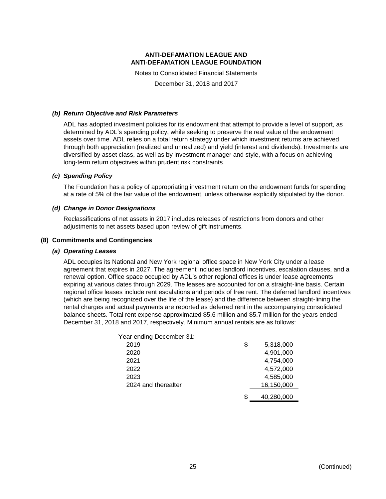Notes to Consolidated Financial Statements December 31, 2018 and 2017

#### *(b) Return Objective and Risk Parameters*

ADL has adopted investment policies for its endowment that attempt to provide a level of support, as determined by ADL's spending policy, while seeking to preserve the real value of the endowment assets over time. ADL relies on a total return strategy under which investment returns are achieved through both appreciation (realized and unrealized) and yield (interest and dividends). Investments are diversified by asset class, as well as by investment manager and style, with a focus on achieving long-term return objectives within prudent risk constraints.

#### *(c) Spending Policy*

The Foundation has a policy of appropriating investment return on the endowment funds for spending at a rate of 5% of the fair value of the endowment, unless otherwise explicitly stipulated by the donor.

#### *(d) Change in Donor Designations*

Reclassifications of net assets in 2017 includes releases of restrictions from donors and other adjustments to net assets based upon review of gift instruments.

#### **(8) Commitments and Contingencies**

#### *(a) Operating Leases*

ADL occupies its National and New York regional office space in New York City under a lease agreement that expires in 2027. The agreement includes landlord incentives, escalation clauses, and a renewal option. Office space occupied by ADL's other regional offices is under lease agreements expiring at various dates through 2029. The leases are accounted for on a straight-line basis. Certain regional office leases include rent escalations and periods of free rent. The deferred landlord incentives (which are being recognized over the life of the lease) and the difference between straight-lining the rental charges and actual payments are reported as deferred rent in the accompanying consolidated balance sheets. Total rent expense approximated \$5.6 million and \$5.7 million for the years ended December 31, 2018 and 2017, respectively. Minimum annual rentals are as follows:

| Year ending December 31: |    |            |
|--------------------------|----|------------|
| 2019                     | \$ | 5,318,000  |
| 2020                     |    | 4,901,000  |
| 2021                     |    | 4,754,000  |
| 2022                     |    | 4,572,000  |
| 2023                     |    | 4,585,000  |
| 2024 and thereafter      |    | 16,150,000 |
|                          | S  | 40.280.000 |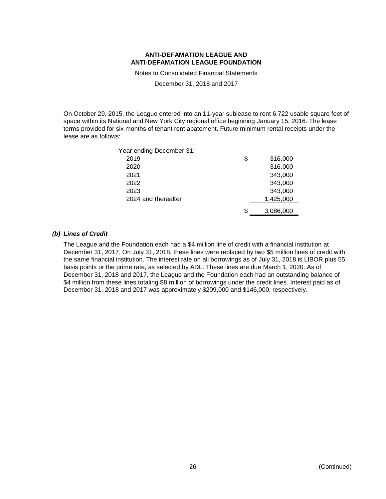Notes to Consolidated Financial Statements

December 31, 2018 and 2017

On October 29, 2015, the League entered into an 11-year sublease to rent 6,722 usable square feet of space within its National and New York City regional office beginning January 15, 2016. The lease terms provided for six months of tenant rent abatement. Future minimum rental receipts under the lease are as follows:

| Year ending December 31: |    |           |
|--------------------------|----|-----------|
| 2019                     | \$ | 316,000   |
| 2020                     |    | 316,000   |
| 2021                     |    | 343,000   |
| 2022                     |    | 343,000   |
| 2023                     |    | 343,000   |
| 2024 and thereafter      |    | 1,425,000 |
|                          | S  | 3,086,000 |

#### *(b) Lines of Credit*

The League and the Foundation each had a \$4 million line of credit with a financial institution at December 31, 2017. On July 31, 2018, these lines were replaced by two \$5 million lines of credit with the same financial institution. The interest rate on all borrowings as of July 31, 2018 is LIBOR plus 55 basis points or the prime rate, as selected by ADL. These lines are due March 1, 2020. As of December 31, 2018 and 2017, the League and the Foundation each had an outstanding balance of \$4 million from these lines totaling \$8 million of borrowings under the credit lines. Interest paid as of December 31, 2018 and 2017 was approximately \$209,000 and \$146,000, respectively.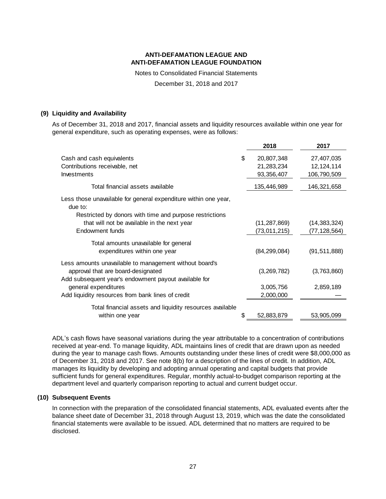Notes to Consolidated Financial Statements

December 31, 2018 and 2017

#### **(9) Liquidity and Availability**

As of December 31, 2018 and 2017, financial assets and liquidity resources available within one year for general expenditure, such as operating expenses, were as follows:

|                                                                                                                                       | 2018             | 2017           |
|---------------------------------------------------------------------------------------------------------------------------------------|------------------|----------------|
| Cash and cash equivalents                                                                                                             | \$<br>20,807,348 | 27,407,035     |
| Contributions receivable, net                                                                                                         | 21,283,234       | 12, 124, 114   |
| Investments                                                                                                                           | 93,356,407       | 106,790,509    |
| Total financial assets available                                                                                                      | 135,446,989      | 146,321,658    |
| Less those unavailable for general expenditure within one year,<br>due to:<br>Restricted by donors with time and purpose restrictions |                  |                |
| that will not be available in the next year                                                                                           | (11, 287, 869)   | (14, 383, 324) |
| Endowment funds                                                                                                                       | (73,011,215)     | (77,128,564)   |
| Total amounts unavailable for general                                                                                                 |                  |                |
| expenditures within one year                                                                                                          | (84, 299, 084)   | (91, 511, 888) |
| Less amounts unavailable to management without board's                                                                                |                  |                |
| approval that are board-designated                                                                                                    | (3,269,782)      | (3,763,860)    |
| Add subsequent year's endowment payout available for<br>general expenditures                                                          | 3,005,756        | 2,859,189      |
| Add liquidity resources from bank lines of credit                                                                                     | 2,000,000        |                |
| Total financial assets and liquidity resources available                                                                              |                  |                |
| within one year                                                                                                                       | \$<br>52,883,879 | 53,905,099     |

ADL's cash flows have seasonal variations during the year attributable to a concentration of contributions received at year-end. To manage liquidity, ADL maintains lines of credit that are drawn upon as needed during the year to manage cash flows. Amounts outstanding under these lines of credit were \$8,000,000 as of December 31, 2018 and 2017. See note 8(b) for a description of the lines of credit. In addition, ADL manages its liquidity by developing and adopting annual operating and capital budgets that provide sufficient funds for general expenditures. Regular, monthly actual-to-budget comparison reporting at the department level and quarterly comparison reporting to actual and current budget occur.

#### **(10) Subsequent Events**

In connection with the preparation of the consolidated financial statements, ADL evaluated events after the balance sheet date of December 31, 2018 through August 13, 2019, which was the date the consolidated financial statements were available to be issued. ADL determined that no matters are required to be disclosed.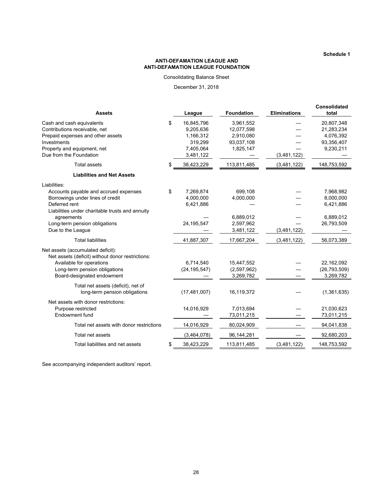**Schedule 1**

#### **ANTI-DEFAMATION LEAGUE AND ANTI-DEFAMATION LEAGUE FOUNDATION**

Consolidating Balance Sheet

December 31, 2018

| <b>Assets</b>                                                                                                                                                                                                                     | League                                                                          | <b>Foundation</b>                                               | <b>Eliminations</b> | <b>Consolidated</b><br>total                                     |
|-----------------------------------------------------------------------------------------------------------------------------------------------------------------------------------------------------------------------------------|---------------------------------------------------------------------------------|-----------------------------------------------------------------|---------------------|------------------------------------------------------------------|
| Cash and cash equivalents<br>Contributions receivable, net<br>Prepaid expenses and other assets<br>Investments<br>Property and equipment, net<br>Due from the Foundation                                                          | \$<br>16,845,796<br>9,205,636<br>1,166,312<br>319,299<br>7,405,064<br>3,481,122 | 3,961,552<br>12,077,598<br>2,910,080<br>93,037,108<br>1,825,147 | (3,481,122)         | 20,807,348<br>21,283,234<br>4,076,392<br>93,356,407<br>9,230,211 |
| <b>Total assets</b>                                                                                                                                                                                                               | \$<br>38,423,229                                                                | 113,811,485                                                     | (3,481,122)         | 148,753,592                                                      |
| <b>Liabilities and Net Assets</b>                                                                                                                                                                                                 |                                                                                 |                                                                 |                     |                                                                  |
| Liabilities:<br>Accounts payable and accrued expenses<br>Borrowings under lines of credit<br>Deferred rent<br>Liabilities under charitable trusts and annuity<br>agreements<br>Long-term pension obligations<br>Due to the League | \$<br>7,269,874<br>4,000,000<br>6,421,886<br>24, 195, 547                       | 699,108<br>4,000,000<br>6,889,012<br>2,597,962<br>3,481,122     | (3,481,122)         | 7,968,982<br>8,000,000<br>6,421,886<br>6,889,012<br>26,793,509   |
| <b>Total liabilities</b>                                                                                                                                                                                                          | 41,887,307                                                                      | 17,667,204                                                      | (3,481,122)         | 56,073,389                                                       |
| Net assets (accumulated deficit):<br>Net assets (deficit) without donor restrictions:<br>Available for operations<br>Long-term pension obligations<br>Board-designated endowment                                                  | 6,714,540<br>(24, 195, 547)                                                     | 15,447,552<br>(2,597,962)<br>3,269,782                          |                     | 22,162,092<br>(26, 793, 509)<br>3,269,782                        |
| Total net assets (deficit), net of<br>long-term pension obligations                                                                                                                                                               | (17, 481, 007)                                                                  | 16,119,372                                                      |                     | (1,361,635)                                                      |
| Net assets with donor restrictions:<br>Purpose restricted<br>Endowment fund                                                                                                                                                       | 14,016,929                                                                      | 7,013,694<br>73,011,215                                         |                     | 21,030,623<br>73,011,215                                         |
| Total net assets with donor restrictions                                                                                                                                                                                          | 14,016,929                                                                      | 80,024,909                                                      |                     | 94,041,838                                                       |
| Total net assets                                                                                                                                                                                                                  | (3,464,078)                                                                     | 96,144,281                                                      |                     | 92,680,203                                                       |
| Total liabilities and net assets                                                                                                                                                                                                  | \$<br>38,423,229                                                                | 113,811,485                                                     | (3,481,122)         | 148,753,592                                                      |

See accompanying independent auditors' report.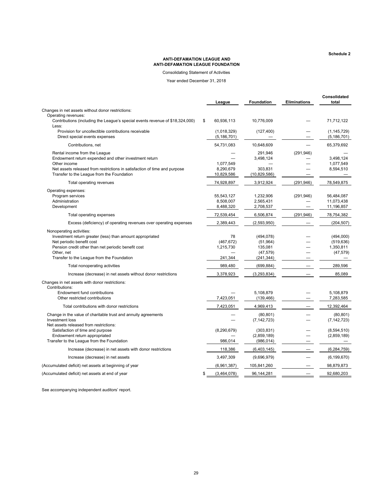**Schedule 2**

#### **ANTI-DEFAMATION LEAGUE AND ANTI-DEFAMATION LEAGUE FOUNDATION**

Consolidating Statement of Activities

Year ended December 31, 2018

|                                                                                                                                                                                                                                       | League                                   | <b>Foundation</b>                                             | <b>Eliminations</b>      | Consolidated<br>total                             |
|---------------------------------------------------------------------------------------------------------------------------------------------------------------------------------------------------------------------------------------|------------------------------------------|---------------------------------------------------------------|--------------------------|---------------------------------------------------|
| Changes in net assets without donor restrictions:                                                                                                                                                                                     |                                          |                                                               |                          |                                                   |
| Operating revenues:<br>Contributions (including the League's special events revenue of \$18,324,000)<br>Less:                                                                                                                         | \$<br>60,936,113                         | 10,776,009                                                    |                          | 71,712,122                                        |
| Provision for uncollectible contributions receivable<br>Direct special events expenses                                                                                                                                                | (1,018,329)<br>(5, 186, 701)             | (127, 400)                                                    |                          | (1, 145, 729)<br>(5, 186, 701)                    |
| Contributions, net                                                                                                                                                                                                                    | 54,731,083                               | 10,648,609                                                    |                          | 65,379,692                                        |
| Rental income from the League<br>Endowment return expended and other investment return<br>Other income<br>Net assets released from restrictions in satisfaction of time and purpose<br>Transfer to the League from the Foundation     | 1,077,549<br>8,290,679<br>10,829,586     | 291,946<br>3,498,124<br>303,831<br>(10,829,586)               | (291, 946)               | 3,498,124<br>1,077,549<br>8,594,510               |
| Total operating revenues                                                                                                                                                                                                              | 74,928,897                               | 3,912,924                                                     | (291, 946)               | 78,549,875                                        |
| Operating expenses:<br>Program services<br>Administration<br>Development                                                                                                                                                              | 55,543,127<br>8,508,007<br>8,488,320     | 1,232,906<br>2,565,431<br>2,708,537                           | (291, 946)               | 56.484.087<br>11,073,438<br>11,196,857            |
| Total operating expenses                                                                                                                                                                                                              | 72,539,454                               | 6,506,874                                                     | (291, 946)               | 78,754,382                                        |
| Excess (deficiency) of operating revenues over operating expenses                                                                                                                                                                     | 2,389,443                                | (2,593,950)                                                   |                          | (204, 507)                                        |
| Nonoperating activities:<br>Investment return greater (less) than amount appropriated<br>Net periodic benefit cost<br>Pension credit other than net periodic benefit cost<br>Other, net<br>Transfer to the League from the Foundation | 78<br>(467, 672)<br>1,215,730<br>241,344 | (494, 078)<br>(51, 964)<br>135,081<br>(47, 579)<br>(241, 344) |                          | (494,000)<br>(519, 636)<br>1,350,811<br>(47, 579) |
| Total nonoperating activities                                                                                                                                                                                                         | 989,480                                  | (699, 884)                                                    |                          | 289,596                                           |
| Increase (decrease) in net assets without donor restrictions                                                                                                                                                                          | 3,378,923                                | (3,293,834)                                                   |                          | 85,089                                            |
| Changes in net assets with donor restrictions:<br>Contributions:<br>Endowment fund contributions<br>Other restricted contributions                                                                                                    | 7,423,051                                | 5,108,879<br>(139, 466)                                       |                          | 5,108,879<br>7,283,585                            |
| Total contributions with donor restrictions                                                                                                                                                                                           | 7,423,051                                | 4,969,413                                                     |                          | 12,392,464                                        |
| Change in the value of charitable trust and annuity agreements<br>Investment loss<br>Net assets released from restrictions:                                                                                                           |                                          | (80, 801)<br>(7, 142, 723)                                    |                          | (80, 801)<br>(7, 142, 723)                        |
| Satisfaction of time and purpose<br>Endowment return appropriated<br>Transfer to the League from the Foundation                                                                                                                       | (8, 290, 679)<br>986,014                 | (303, 831)<br>(2,859,189)<br>(986, 014)                       |                          | (8,594,510)<br>(2,859,189)                        |
| Increase (decrease) in net assets with donor restrictions                                                                                                                                                                             | 118,386                                  | (6,403,145)                                                   | $\overline{\phantom{0}}$ | (6, 284, 759)                                     |
| Increase (decrease) in net assets                                                                                                                                                                                                     | 3,497,309                                | (9,696,979)                                                   |                          | (6, 199, 670)                                     |
| (Accumulated deficit) net assets at beginning of year                                                                                                                                                                                 | (6,961,387)                              | 105,841,260                                                   |                          | 98,879,873                                        |
| (Accumulated deficit) net assets at end of year                                                                                                                                                                                       | \$<br>(3,464,078)                        | 96,144,281                                                    |                          | 92,680,203                                        |

See accompanying independent auditors' report.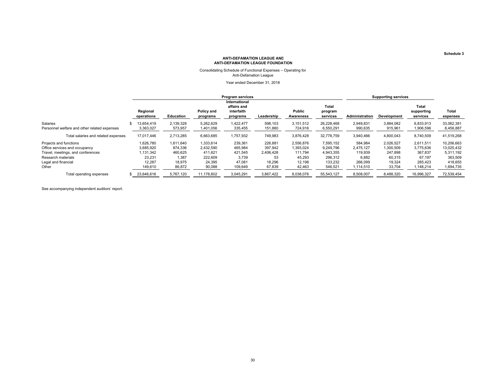#### Consolidating Schedule of Functional Expenses – Operating for Anti-Defamation League

Year ended December 31, 2018

|                                                                                                                                                    | <b>Program services</b>                                            |                                                              |                                                                  |                                                             |                                                           |                                                                 | <b>Supporting services</b>                                           |                                                                  |                                                                 |                                                                     |                                                                          |
|----------------------------------------------------------------------------------------------------------------------------------------------------|--------------------------------------------------------------------|--------------------------------------------------------------|------------------------------------------------------------------|-------------------------------------------------------------|-----------------------------------------------------------|-----------------------------------------------------------------|----------------------------------------------------------------------|------------------------------------------------------------------|-----------------------------------------------------------------|---------------------------------------------------------------------|--------------------------------------------------------------------------|
|                                                                                                                                                    | Regional<br>operations                                             | Education                                                    | Policy and<br>programs                                           | International<br>affairs and<br>interfaith<br>programs      | Leadership                                                | <b>Public</b><br>Awareness                                      | Total<br>program<br>services                                         | Administration                                                   | Development                                                     | Total<br>supporting<br>services                                     | Total<br>expenses                                                        |
| Salaries<br>Personnel welfare and other related expenses                                                                                           | 13.654.419<br>3,363,027                                            | 2,139,328<br>573,957                                         | 5,262,629<br>401,056.                                            | 1.422.477<br>335,455                                        | 598,103<br>151,880                                        | 3,151,512<br>724,916                                            | 26.228.468<br>6,550,291                                              | 2.949.831<br>990,635                                             | 3.884.082<br>915,961                                            | 6,833,913<br>1,906,596                                              | 33,062,381<br>8,456,887                                                  |
| Total salaries and related expenses                                                                                                                | 17,017,446                                                         | 2,713,285                                                    | 6,663,685                                                        | 1,757,932                                                   | 749,983                                                   | 3,876,428                                                       | 32,778,759                                                           | 3,940,466                                                        | 4,800,043                                                       | 8,740,509                                                           | 41,519,268                                                               |
| Projects and functions<br>Office services and occupancy<br>Travel, meetings, and conferences<br>Research materials<br>Legal and financial<br>Other | 1,626,780<br>3,685,920<br>1,131,342<br>23,231<br>12,287<br>149,610 | 1,611,640<br>874,336<br>460,625<br>1.387<br>18,975<br>86,872 | 1,333,614<br>2,432,590<br>411,621<br>222,609<br>24,395<br>90,088 | 239,361<br>465,984<br>421,545<br>3,739<br>47,081<br>109,649 | 226,881<br>397,942<br>2,406,428<br>53<br>18,296<br>67,839 | 2,556,876<br>1,393,024<br>111,794<br>45,293<br>12,198<br>42,463 | 7,595,152<br>9,249,796<br>4,943,355<br>296,312<br>133,232<br>546,521 | 584.984<br>2,475,127<br>119,939<br>6,882<br>266,099<br>1,114,510 | 2,026,527<br>1,300,509<br>247,898<br>60,315<br>19,324<br>33,704 | 2,611,511<br>3,775,636<br>367,837<br>67.197<br>285,423<br>1,148,214 | 10,206,663<br>13,025,432<br>5,311,192<br>363,509<br>418,655<br>1,694,735 |
| Total operating expenses                                                                                                                           | 23,646,616                                                         | 5,767,120                                                    | 11,178,602                                                       | 3.045.291                                                   | 3.867.422                                                 | 8,038,076                                                       | 55.543.127                                                           | 8.508.007                                                        | 8,488,320                                                       | 16,996,327                                                          | 72.539.454                                                               |

See accompanying independent auditors' report.

**Schedule 3**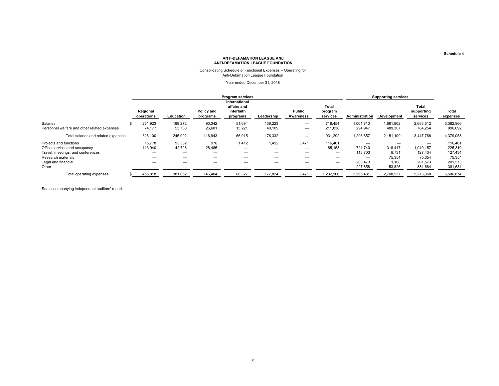## Consolidating Schedule of Functional Expenses – Operating for Anti-Defamation League Foundation

Year ended December 31, 2018

|                                                          | <b>Program services</b> |                   |                        |                                                        |                   |                     |                               | <b>Supporting services</b> |                      |                                 |                      |
|----------------------------------------------------------|-------------------------|-------------------|------------------------|--------------------------------------------------------|-------------------|---------------------|-------------------------------|----------------------------|----------------------|---------------------------------|----------------------|
|                                                          | Regional<br>operations  | <b>Education</b>  | Policy and<br>programs | International<br>affairs and<br>interfaith<br>programs | Leadership        | Public<br>Awareness | Total<br>program<br>services  | Administration             | Development          | Total<br>supporting<br>services | Total<br>expenses    |
| Salaries<br>Personnel welfare and other related expenses | 251.923<br>74,177       | 189,272<br>55,730 | 90,342<br>26,601       | 51,694<br>15,221                                       | 136,223<br>40,109 |                     | 719.454<br>211.838            | 1.001.710<br>294,947       | 1,661,802<br>489,307 | 2,663,512<br>784.254            | 3,382,966<br>996,092 |
| Total salaries and related expenses                      | 326,100                 | 245,002           | 116,943                | 66,915                                                 | 176,332           | —                   | 931,292                       | 1,296,657                  | 2,151,109            | 3,447,766                       | 4,379,058            |
| Projects and functions<br>Office services and occupancy  | 15,778<br>113,940       | 93,332<br>42,728  | 976<br>28,485          | 1,412                                                  | 1.492<br>-        | 3,471               | 116.461<br>185,153            | 721,740                    | 318,417              | -<br>1,040,157                  | 116,461<br>1,225,310 |
| Travel, meetings, and conferences<br>Research materials  |                         | —<br>–            | –                      | $\overline{\phantom{0}}$<br>—                          | –<br>_            | –<br>–              |                               | 118.703                    | 8,731<br>75,354      | 127.434<br>75,354               | 127,434<br>75,354    |
| Legal and financial<br>Other                             | –                       | –<br>–            |                        | —                                                      | –                 | –                   | $\overline{\phantom{0}}$<br>— | 200,473<br>227,858         | 1,100<br>153,826     | 201,573<br>381,684              | 201,573<br>381,684   |
| Total operating expenses                                 | 455,818                 | 381,062           | 146,404                | 68,327                                                 | 177.824           | 3,471               | 1,232,906                     | 2,565,431                  | 2,708,537            | 5,273,968                       | 6,506,874            |

See accompanying independent auditors' report.

**Schedule 4**